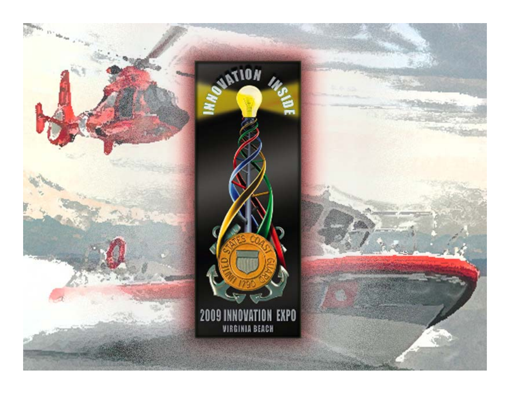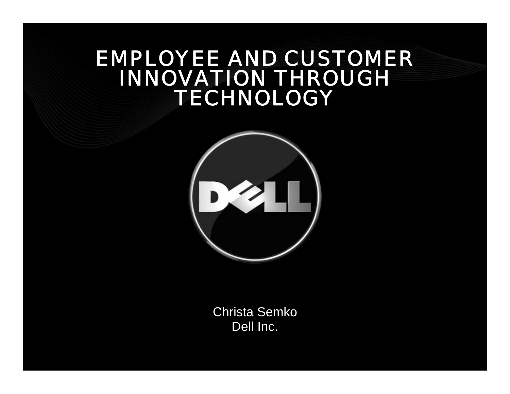### *EMPLOYEE AND CUSTOMER INNOVATION THROUGH TECHNOLOGY*



Christa Semko Dell Inc.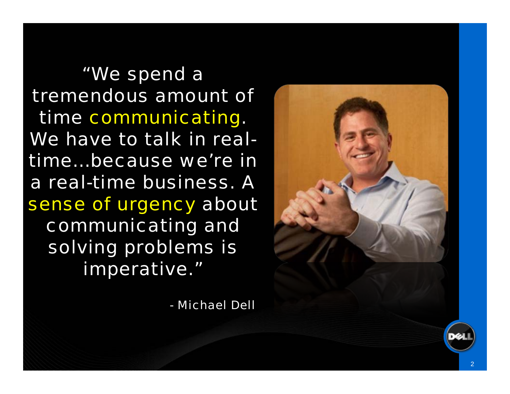*"We spend a tremendous amount of time communicating. We have to talk in realtime…because we're in a real-time business. A sense of urgency about communicating and solving problems is imperative."*

*- Michael Dell*



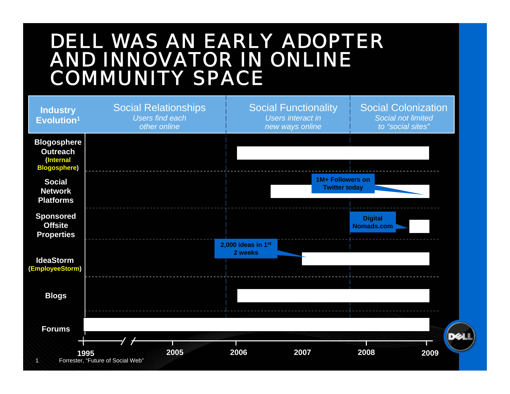### *DELL WAS AN EARLY ADOPTER AND INNOVATOR IN ONLINE COMMUNITY SPACE*

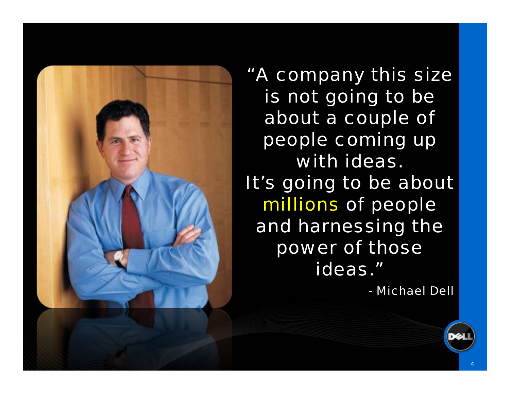

*"A company this size is not going to be about a couple of people coming up with ideas. It's going to be about millions of people and harnessing the power of those ideas."*

*- Michael Dell*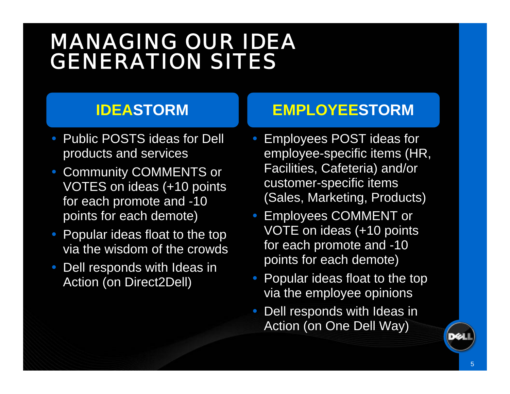# *MANAGING OUR IDEA GENERATION SITES*

#### **IDEASTORM**

- $\bullet$  Public POSTS ideas for Dell products and services
- Community COMMENTS or VOTES on ideas (+10 points for each promote and -10 points for each demote)
- Popular ideas float to the top via the wisdom of the crowds
- Dell responds with Ideas in Action (on Direct2Dell)

### **EMPLOYEESTORM**

- $\bullet$  Employees POST ideas for employee-specific items (HR, Facilities, Cafeteria) and/or customer-specific items (Sales, Marketing, Products)
- Employees COMMENT or VOTE on ideas (+10 points for each promote and -10 points for each demote)
- $\bullet$  Popular ideas float to the top via the employee opinions
- Dell responds with Ideas in Action (on One Dell Way)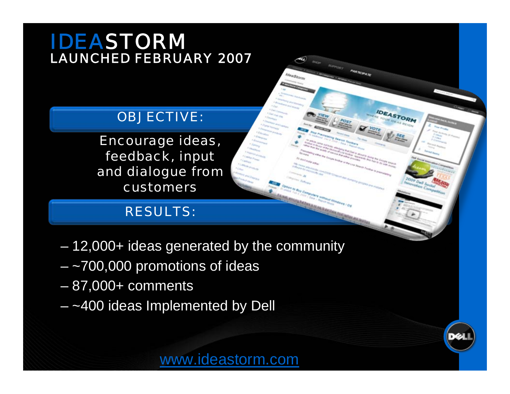### *IDEASTORM LAUNCHED FEBRUARY 2007*

#### *OBJECTIVE:*

*Encourage ideas, feedback, input and dialogue from customers* 

#### *RESULTS:*

- 12,000+ ideas generated by the community
- ~700,000 promotions of ideas
- $-\overline{87,000+}$  comments
- $-$  ~400 ideas Implemented by Dell



**IDEASTORM**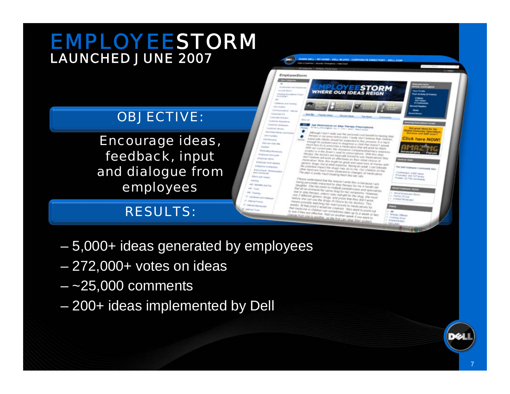### *EMPLOYEESTORM LAUNCHED JUNE 2007*

#### *OBJECTIVE:*

*Encourage ideas, feedback, input and dialogue from employees* 

#### *RESULTS:*

- 5,000+ ideas generated by employees
- 272,000+ votes on ideas
- $-$  ~25,000 comments
- 200+ ideas implemented by Dell

**INSER ORLE | MY HOWE | DELL BLOOK | CONPORATE DIRECTORY | DELL C** 

WHERE OUR IDEAS REIGN

Although I don't really see the personal cost benefit to having step -<br>Person in our Irelands and the personal could benefit to having stay<br>Hencouty infants should be

**lick here NOW** 

by this Engineer Commonly has

**Cremau Araliano** 

Promotes 2011 127 Brews

of Gregorian co. **Fasting Office** 

Contest Moderator

**Gloris Olived** Consey Juan **Inglession** 

- Provide and prescription plan, I really don't believe free chains.<br>Hopecally infants shared be subjected for this process. If is have

message by premis should be subjected to bus process. If is hard message by provincial and the problem.

month and pyrobadic and distinguishes a child that down it is hard.<br>That's less by to presidence a moderation that was associated agency.<br>Hitler law carried plan: the cracket of that was work hit theory

means was by the presidentie in medication that will work for them.<br>With the carried plan, the children's continents of the them. HOSPRI) is at the plant, the childrance company-phasmacy (sin)<br>Penalty, the disclarer's limit for prescriptions. With this step

Periodic, the different linear for prescriptions. With the Herpers.<br>Periodic, the distinct and balancary harded for strandical department.<br>Reif belows will work as afformance are the strenglications then

mentication Adon musical attachants as Busi-India chause of the<br>mentication Adon Bes music or generate state hand chause of<br>mentications and

of the coupe and the couplet of growl and safety form of the control of the control of the control of the control of the control of the control of the control of the control of the control of the control of the control of the policetual in the affait expector. Beard an adult, I createy is<br>often hand are made that display may do for the Our chaighes became<br>often hand are made more pelishers do the Our chaighes to the

The Control of Control and Internals forced to use membrances<br>The Control and anything the affectively as Ther initial (Notice of

other hand are meant the drugs may do to the Our children temps<br>other hand are mech more intolerant to charged or medication.

Please understand that the reason I write the is because I am<br>feeling personally impacted by your theory and

r<br>Telegy personally implected by valuated write this is because I am<br>Biograph : She has been to multiple persony for my 4 movim (ap)<br>MEAR woones:

own at reconsinent the same display has personnel and specialis<br>the lo sing therapic unless I pay outlight for the prophetic historical<br>line 2 different gimens chugs, and prove that they also must<br>will a she can use as the

ver a step through, unless I Day outletted femalisms. However, the above the first change of the control of the control of the control of the control of the control of the control of the control of the control of the contr

The children persons shaps and prove that this child she is<br>the site can use the drugs of chains the interior door large<br>theirs showing watching her interfaces by my doctors. This

There we can use the drugs of choice by my firey does used<br>There provide watching her react poorly to revolution: This<br>Hitles At that point it would be covered. Also<br>Withinking in cost it would be covered. Also

The Chandistres or chapture can solved theme. Also want to point on<br>To have if they are effective. Appl he accelerates and of hi a wood or in<br>Chandist firsts are effective. Appl he accelerates investigation when the

The means of the point of the control of the state of the discussions of the means of the state of the state of the first control of the first control of the first control of the first control of the first control of the f

**That made that point it would be climbed. Also made allows for<br>That made on it children can sometimes Altit want to point out**<br>To love if they are effective. Add so sometimes take up to a would or her<br>Callista front one b

internal personally implacted by video thereins this is bactalous Lam<br>Gaughtey She has been to mudicity bending by my 4 month (a)<br>hat all second was been to mudicity probabilities and specialists<br>be his sino thereinf the L Here all recontributed the campaigner productions and<br>that all recontributed the Lamer mug for her betrainers and<br>the hir step therapy, unaven I may be her betrainers.

The plan is profit much more edilment to charges in

Age Associations on Jose Therapy Pressurgations

Det.)

**EmployeeStorn CENTER** 

**Maximum** 

- 80

٠

٠

**MORAL BANK** 

**Philadelphia** Del Democr **Inferior Advised Consumering Calvings James Continued passions** 

**Giftsher Shakesan STATIST SERVICE** 

**Det Deart Street and Koat** 

**February** 

**Patient Pat Inc.** 

**Districtly Fernand** 

**Engineer Discovers** 

**Employer Hind Grands** 

rand distinguish

Enterprise institutional

**WA Carriera and** 

**Increasure** 

**Inf** Janeta and Far

**Pontiaco and Safety** 

Simp

 $m$ . False

**All Today** 

**Christian** 

**Richard Force** 

**Interactionarie** 

**Distance Blues** 

**Call Research** 

**Dettor**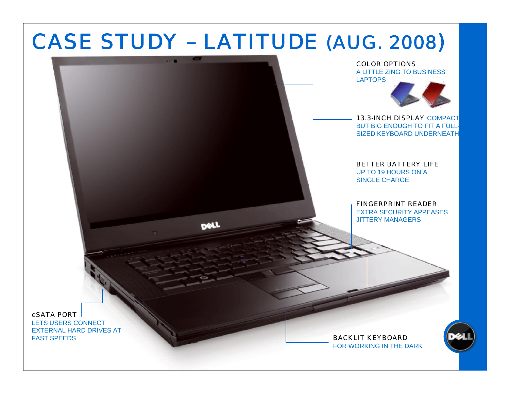# *CASE STUDY – LATITUDE (AUG. 2008 )*



*eSATA PORT* 

LETS USERS CONNECT EXTERNAL HARD DRIVES AT FAST SPEEDS *BACKLIT KEYBOARD*

FOR WORKING IN THE DARK

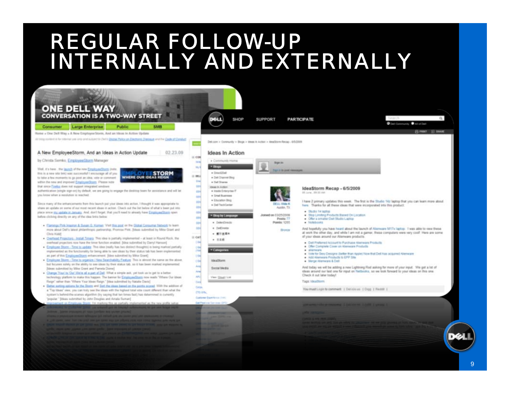# *REGULAR FOLLOW-UP INTERNALLY AND EXTERNALLY*

| <b>ONE DELL WAY</b><br><b>CONVERSATION IS A TWO-WAY STREET</b>                                                                                                                                                                                                                                                                                                                                                                                                                                                                                                                                                                                                                                                                                                                                                                                                                                                                                                                                                                                                                                                                                                                                                                                                                                                                                                                                                                                                                                                                                                                                                                                                                               | SHOP                                                                                                                                                                                                                                                                                                                                                                                                                                                                              | <b>SUPPORT</b>                                                                                                         | <b>PARTICIPATE</b>                                                                                                                                                                                                                                                                                                                                                                                                                                                                                                  |                                                                                                                                                                                                                                                                                                                |
|----------------------------------------------------------------------------------------------------------------------------------------------------------------------------------------------------------------------------------------------------------------------------------------------------------------------------------------------------------------------------------------------------------------------------------------------------------------------------------------------------------------------------------------------------------------------------------------------------------------------------------------------------------------------------------------------------------------------------------------------------------------------------------------------------------------------------------------------------------------------------------------------------------------------------------------------------------------------------------------------------------------------------------------------------------------------------------------------------------------------------------------------------------------------------------------------------------------------------------------------------------------------------------------------------------------------------------------------------------------------------------------------------------------------------------------------------------------------------------------------------------------------------------------------------------------------------------------------------------------------------------------------------------------------------------------------|-----------------------------------------------------------------------------------------------------------------------------------------------------------------------------------------------------------------------------------------------------------------------------------------------------------------------------------------------------------------------------------------------------------------------------------------------------------------------------------|------------------------------------------------------------------------------------------------------------------------|---------------------------------------------------------------------------------------------------------------------------------------------------------------------------------------------------------------------------------------------------------------------------------------------------------------------------------------------------------------------------------------------------------------------------------------------------------------------------------------------------------------------|----------------------------------------------------------------------------------------------------------------------------------------------------------------------------------------------------------------------------------------------------------------------------------------------------------------|
| <b>Large Enterprise</b><br><b>SMB</b><br>Consumer<br><b>Public</b>                                                                                                                                                                                                                                                                                                                                                                                                                                                                                                                                                                                                                                                                                                                                                                                                                                                                                                                                                                                                                                                                                                                                                                                                                                                                                                                                                                                                                                                                                                                                                                                                                           |                                                                                                                                                                                                                                                                                                                                                                                                                                                                                   |                                                                                                                        |                                                                                                                                                                                                                                                                                                                                                                                                                                                                                                                     | Call Community Call of Dail                                                                                                                                                                                                                                                                                    |
| lune » One Dell Way » A New Employee Storm, And an Ideas in Action Update                                                                                                                                                                                                                                                                                                                                                                                                                                                                                                                                                                                                                                                                                                                                                                                                                                                                                                                                                                                                                                                                                                                                                                                                                                                                                                                                                                                                                                                                                                                                                                                                                    |                                                                                                                                                                                                                                                                                                                                                                                                                                                                                   |                                                                                                                        |                                                                                                                                                                                                                                                                                                                                                                                                                                                                                                                     | 日 most 日 StARE                                                                                                                                                                                                                                                                                                 |
| Taking somes a bestema um ono antisulare to Delle <u>Dispat Palex an Emeterne Dimina e</u> and he <u>Coste of Carisbut</u>                                                                                                                                                                                                                                                                                                                                                                                                                                                                                                                                                                                                                                                                                                                                                                                                                                                                                                                                                                                                                                                                                                                                                                                                                                                                                                                                                                                                                                                                                                                                                                   |                                                                                                                                                                                                                                                                                                                                                                                                                                                                                   | Dell core > Contractity > Blogs > ideas is Action > idealition Recap - 6/5/2009                                        |                                                                                                                                                                                                                                                                                                                                                                                                                                                                                                                     |                                                                                                                                                                                                                                                                                                                |
| A New EmployeeStorm, And an Ideas in Action Update<br>02.23.09                                                                                                                                                                                                                                                                                                                                                                                                                                                                                                                                                                                                                                                                                                                                                                                                                                                                                                                                                                                                                                                                                                                                                                                                                                                                                                                                                                                                                                                                                                                                                                                                                               | Ideas In Action                                                                                                                                                                                                                                                                                                                                                                                                                                                                   |                                                                                                                        |                                                                                                                                                                                                                                                                                                                                                                                                                                                                                                                     |                                                                                                                                                                                                                                                                                                                |
| by Christa Semko, EmployeeGlorm Manager                                                                                                                                                                                                                                                                                                                                                                                                                                                                                                                                                                                                                                                                                                                                                                                                                                                                                                                                                                                                                                                                                                                                                                                                                                                                                                                                                                                                                                                                                                                                                                                                                                                      | iii cow<br>+ Contentently Home                                                                                                                                                                                                                                                                                                                                                                                                                                                    |                                                                                                                        |                                                                                                                                                                                                                                                                                                                                                                                                                                                                                                                     |                                                                                                                                                                                                                                                                                                                |
|                                                                                                                                                                                                                                                                                                                                                                                                                                                                                                                                                                                                                                                                                                                                                                                                                                                                                                                                                                                                                                                                                                                                                                                                                                                                                                                                                                                                                                                                                                                                                                                                                                                                                              | <b>Your do</b><br>* Blogs<br><b>Mark</b>                                                                                                                                                                                                                                                                                                                                                                                                                                          | <b>Signal</b>                                                                                                          |                                                                                                                                                                                                                                                                                                                                                                                                                                                                                                                     |                                                                                                                                                                                                                                                                                                                |
| Well, it's have the <u>taunch</u> of the new <u>Constructed from</u> Unite.<br><b>EESTORM</b><br>this is a new site law) was successfull I encourage all of you<br>WHERE OUR IDEAS REIGN<br>to take a few moments to go pixit an idea, vole or comment.<br>within the new and improved EmployeeDown. Please roter<br>that since Firefox does not support integrated sendous<br>authentication (single tops on) by default, we are going to engage the desktop team for assistance and will let<br>you limour when a resolution to reached.<br>Since many of the arthurcaments from this teamth put your ideas into action, I thought it was appropriate to<br>where an update on some of our most recent aboas in action. Chieds out the bit below of what's been put into<br>place since my spilate in January. And, don't forget, that you'll result to already have EmployeeDom rewn.<br>before clicking descity on any of the idea links below<br>· Elational Pick Husine, & Salvan G. Harnes VW flin paut on the Girlial Conjustier Mitwork to News<br>more about Dall's latest philamhistaic partnership. Promise Pink, Silvas pubmitted by Mike Grant and<br>Chris Hubbl<br>. Cherhead Projectors - Install Timers This idea is partially implemented - at least in Round Rack, the<br>averhead projection rose have the timer function enabled. (klea submitted by Darryl Harount)<br>. Employee Storm - Time to update: This idea (really has two distinct thoughts) is being marked partially<br>implemented as the functionality for being able to see ideas by their status tab has been implemented<br>as part of this EmployeeDoem enhancement. (Idea submitted by Mike Grant) | · Crectified<br><b>III DELL</b><br>. Del Channel Blog<br><b>Cras</b><br>. Del Shares<br><b>COM</b><br><b>Ideas In Action</b><br>· Inside Enterprise IT<br><b>CEN</b><br>· Small Business<br><b>COM</b><br>· Education Blog<br><b>DOM</b><br>* Del TechCenter<br>COV<br>GD4<br>* Bing by Language<br><b>COV</b><br>· DelenDrinks<br><b>COM</b><br><b>COM</b><br>+ DeElects<br>$-$ <i>Kingda</i><br>$= c \kappa$ 1<br>$+ 726$<br>194<br>(94)<br>* Categories<br><b>Child</b><br>164 | TAX III BY JUNE HARASHUM.<br>DELL-VABA K<br>Austin, TX<br>8000/2023 existent.<br>Printing 77<br>Points: 1205<br>Bronze | IdeaStorm Recap - 6/5/2009<br>08.2-tal. 09:33.466<br>hare. Thanks for all these ideas that were incorporated into this product.<br>. Studio 14 lastice<br>. Sky Limfing Products Based On Location<br>. Offer a smaller Dell Studio Lastian<br>· listebooks<br>of your ideas around our Alleneare products.<br>. Del Preferred Account to Purchase Alennane Products<br>Chier Complete Cover on Allemages Products<br>· Williams<br>. Vote for Dera Designs (befor that Apple) Now that Dell has acquired Allenware | I have 2 primary updates this week. The first is the Studio 142 laptop that you can learn more about<br>And hopefully you have heard about the launch of Alienviare M17x laptop. I was able to view these<br>at work the other day, and while I am not a gamer, these computers were very coolf. Here are some |
| . Employee Storm - Time to proprior / New Searchabile, Feature This is almind the same as the above.<br>But focuses safely on the ability to see ideas by their status tab, so it has been marked implemented.<br>[Mean submitted by Mike Grant and Parnela Duina]<br>· Charge Your is 'Our' We're at a part of Dall. What a simple ask, yet took us to get to a better<br>hechmilagy platform to make this happen. The banker for EmployeeStorm now made "Ithere Out ideas:<br>Fleigh' rather than 'Where Your Mean Ealge." John submitted by Natalie David]<br>. Better sorting retirers for the Storm and Sort the ideas beaut on the points appeal. VAIN the addition of                                                                                                                                                                                                                                                                                                                                                                                                                                                                                                                                                                                                                                                                                                                                                                                                                                                                                                                                                                                                                 | <b>IdeaDiterm</b><br>(Bd<br>Anti<br>Social Media<br>Artes<br>AP1<br>View Shad (SM)<br><b>Cest</b>                                                                                                                                                                                                                                                                                                                                                                                 |                                                                                                                        | . Add Alamagos Products to EPP Site<br>. Marge Allerware & Dell<br>ideas around our last one for input on Netbooks, so we look foreard to your ideas on this one.<br>Check it out later today!<br>Tags: Idea/Nom                                                                                                                                                                                                                                                                                                    | And today we will be adding a new Lightning Rod asking for more of your input. Vila get a lot of                                                                                                                                                                                                               |
| a "Top bleas" view, you can tody see the ideas with the highest total vite count different than what the<br>system's befind the ecenes algorithm (by saying that ten firms fast) has determined is currently<br>"popular." Bliess submitted by John Douglas and Amala Suman)                                                                                                                                                                                                                                                                                                                                                                                                                                                                                                                                                                                                                                                                                                                                                                                                                                                                                                                                                                                                                                                                                                                                                                                                                                                                                                                                                                                                                 | <b>Carpic</b><br>CTO EPA<br>Castlemer Department (1993)                                                                                                                                                                                                                                                                                                                                                                                                                           |                                                                                                                        | You must Light to comment   Det ide us   Dog   Realit                                                                                                                                                                                                                                                                                                                                                                                                                                                               |                                                                                                                                                                                                                                                                                                                |
| Instrumented on Emotions Storm. For marking this as carbally implemented as the new profile setup.<br>property for producting mother are scenarily are not because columnating we are now beingst supply                                                                                                                                                                                                                                                                                                                                                                                                                                                                                                                                                                                                                                                                                                                                                                                                                                                                                                                                                                                                                                                                                                                                                                                                                                                                                                                                                                                                                                                                                     | Cal Feature Services OFT                                                                                                                                                                                                                                                                                                                                                                                                                                                          |                                                                                                                        | Los come i silve pe coussing. Il partitione il public il unitare il                                                                                                                                                                                                                                                                                                                                                                                                                                                 |                                                                                                                                                                                                                                                                                                                |
| Submer records and college and the present or energy process. Search<br>Factory is provided to a structure that you are flucture for suggesting statement and purpose is unrained                                                                                                                                                                                                                                                                                                                                                                                                                                                                                                                                                                                                                                                                                                                                                                                                                                                                                                                                                                                                                                                                                                                                                                                                                                                                                                                                                                                                                                                                                                            |                                                                                                                                                                                                                                                                                                                                                                                                                                                                                   |                                                                                                                        |                                                                                                                                                                                                                                                                                                                                                                                                                                                                                                                     |                                                                                                                                                                                                                                                                                                                |
| and that the cost new part same way can officers your contributed transier com work but                                                                                                                                                                                                                                                                                                                                                                                                                                                                                                                                                                                                                                                                                                                                                                                                                                                                                                                                                                                                                                                                                                                                                                                                                                                                                                                                                                                                                                                                                                                                                                                                      |                                                                                                                                                                                                                                                                                                                                                                                                                                                                                   |                                                                                                                        | THE MANUFACTURE AND COLUMN TWO VEHICLE IN 1979 TO THE REAL PROPERTY.                                                                                                                                                                                                                                                                                                                                                                                                                                                |                                                                                                                                                                                                                                                                                                                |
| Formula are gone contact more comp com current interest in gone because a compare compare regul                                                                                                                                                                                                                                                                                                                                                                                                                                                                                                                                                                                                                                                                                                                                                                                                                                                                                                                                                                                                                                                                                                                                                                                                                                                                                                                                                                                                                                                                                                                                                                                              |                                                                                                                                                                                                                                                                                                                                                                                                                                                                                   |                                                                                                                        |                                                                                                                                                                                                                                                                                                                                                                                                                                                                                                                     |                                                                                                                                                                                                                                                                                                                |
|                                                                                                                                                                                                                                                                                                                                                                                                                                                                                                                                                                                                                                                                                                                                                                                                                                                                                                                                                                                                                                                                                                                                                                                                                                                                                                                                                                                                                                                                                                                                                                                                                                                                                              |                                                                                                                                                                                                                                                                                                                                                                                                                                                                                   |                                                                                                                        |                                                                                                                                                                                                                                                                                                                                                                                                                                                                                                                     |                                                                                                                                                                                                                                                                                                                |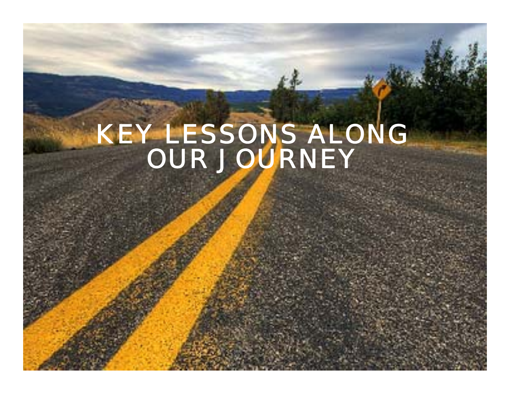# *KEY LESSONS ALONG OUR JOURNEY*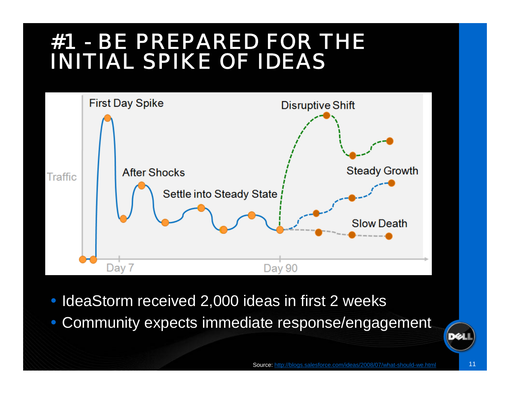# *#1 - BE PREPARED FOR THE INITIAL SPIKE OF IDEAS*



- $\bullet$ IdeaStorm received 2,000 ideas in first 2 weeks
- $\bullet$ Community expects immediate response/engagement

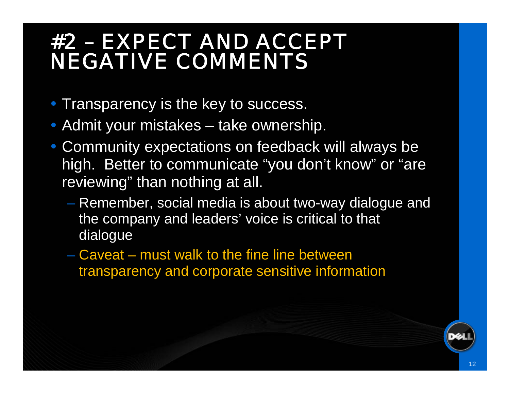# *#2 – EXPECT AND ACCEPT NEGATIVE COMMENTS*

- Transparency is the key to success.
- Admit your mistakes take ownership.
- Community expectations on feedback will always be high. Better to communicate "you don't know" or "are reviewing" than nothing at all.
	- Remember, social media is about two-way dialogue and the company and leaders' voice is critical to that dialogue
	- Caveat must walk to the fine line between transparency and corporate sensitive information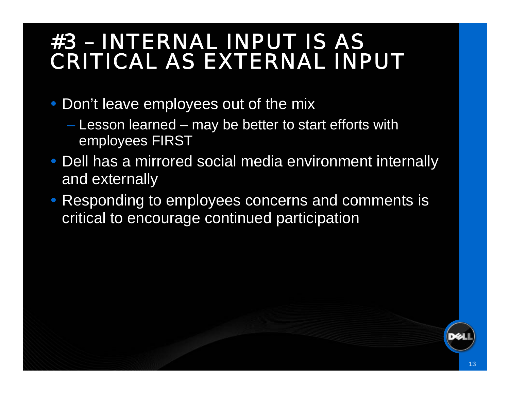# *#3 – INTERNAL INPUT IS AS CRITICAL AS EXTERNAL INPUT*

- Don't leave employees out of the mix
	- Lesson learned may be better to start efforts with employees FIRST
- Dell has a mirrored social media environment internally and externally
- $\bullet$  Responding to employees concerns and comments is critical to encourage continued participation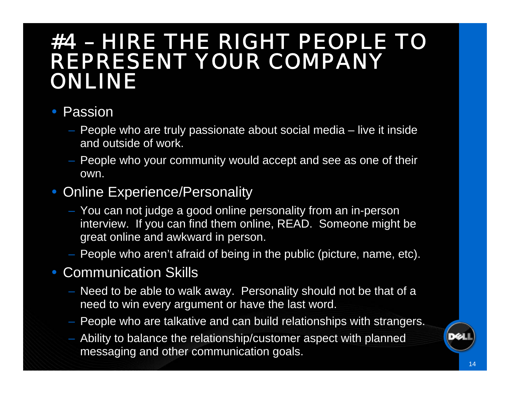## *#4 – HIRE THE RIGHT PEOPLE TO REPRESENT YOUR COMPANY ONLINE*

#### • Passion

- People who are truly passionate about social media live it inside and outside of work.
- People who your community would accept and see as one of their own.

#### • Online Experience/Personality

- You can not judge a good online personality from an in-person interview. If you can find them online, READ. Someone might be great online and awkward in person.
- People who aren't afraid of being in the public (picture, name, etc).

#### Communication Skills

- Need to be able to walk away. Personality should not be that of a need to win every argument or have the last word.
- People who are talkative and can build relationships with strangers.
- Ability to balance the relationship/customer aspect with planned messaging and other communication goals.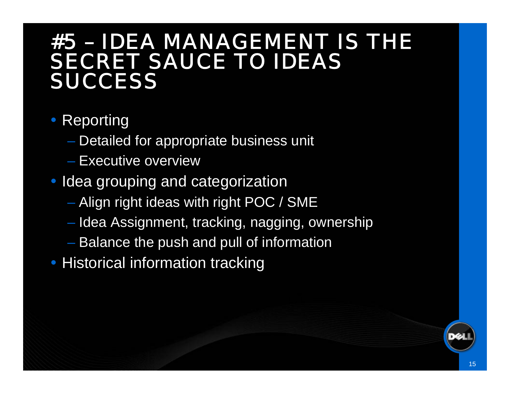## *#5 – IDEA MANAGEMENT IS THE SECRET SAUCE TO IDEAS SUCCESS*

### • Reporting

- Detailed for appropriate business unit
- Executive overview
- Idea grouping and categorization
	- Align right ideas with right POC / SME
	- Idea Assignment, tracking, nagging, ownership
	- Balance the push and pull of information
- $\bullet$ Historical information tracking